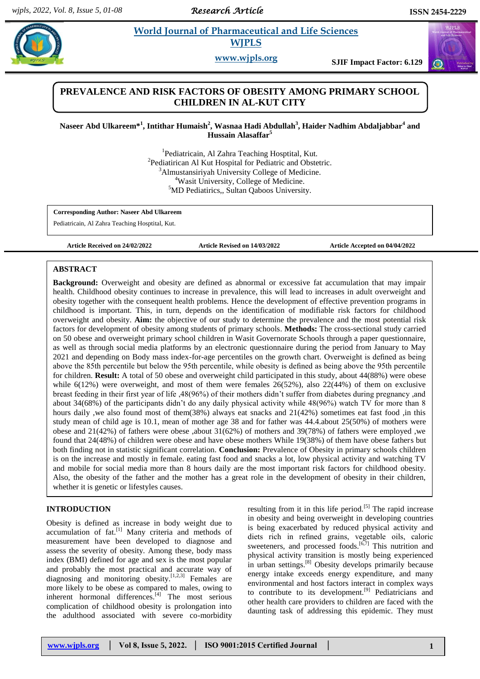*Research Article*

# **Paramaceutical and Life Sciences WJPLS**

**www.wjpls.org SJIF Impact Factor: 6.129**

## **PREVALENCE AND RISK FACTORS OF OBESITY AMONG PRIMARY SCHOOL CHILDREN IN AL-KUT CITY**

### **Naseer Abd Ulkareem\* 1 , Intithar Humaish<sup>2</sup> , Wasnaa Hadi Abdullah<sup>3</sup> , Haider Nadhim Abdaljabbar<sup>4</sup> and Hussain Alasaffar<sup>5</sup>**

<sup>1</sup>Pediatricain, Al Zahra Teaching Hosptital, Kut. <sup>2</sup>Pediatirican Al Kut Hospital for Pediatric and Obstetric. <sup>3</sup>Almustansiriyah University College of Medicine. <sup>4</sup>Wasit University, College of Medicine. <sup>5</sup>MD Pediatirics., Sultan Qaboos University.

**Corresponding Author: Naseer Abd Ulkareem**

Pediatricain, Al Zahra Teaching Hosptital, Kut.

**Article Received on 24/02/2022 Article Revised on 14/03/2022 Article Accepted on 04/04/2022**

#### **ABSTRACT**

**Background:** Overweight and obesity are defined as abnormal or excessive fat accumulation that may impair health. Childhood obesity continues to increase in prevalence, this will lead to increases in adult overweight and obesity together with the consequent health problems. Hence the development of effective prevention programs in childhood is important. This, in turn, depends on the identification of modifiable risk factors for childhood overweight and obesity. **Aim:** the objective of our study to determine the prevalence and the most potential risk factors for development of obesity among students of primary schools. **Methods:** The cross-sectional study carried on 50 obese and overweight primary school children in Wasit Governorate Schools through a paper questionnaire, as well as through social media platforms by an electronic questionnaire during the period from January to May 2021 and depending on Body mass index-for-age percentiles on the growth chart. Overweight is defined as being above the 85th percentile but below the 95th percentile, while obesity is defined as being above the 95th percentile for children. **Result:** A total of 50 obese and overweight child participated in this study, about 44(88%) were obese while  $6(12%)$  were overweight, and most of them were females  $26(52%)$ , also  $22(44%)$  of them on exclusive breast feeding in their first year of life ,48(96%) of their mothers didn't suffer from diabetes during pregnancy ,and about 34(68%) of the participants didn't do any daily physical activity while 48(96%) watch TV for more than 8 hours daily , we also found most of them(38%) always eat snacks and 21(42%) sometimes eat fast food , in this study mean of child age is 10.1, mean of mother age 38 and for father was 44.4.about 25(50%) of mothers were obese and 21(42%) of fathers were obese ,about 31(62%) of mothers and 39(78%) of fathers were employed ,we found that 24(48%) of children were obese and have obese mothers While 19(38%) of them have obese fathers but both finding not in statistic significant correlation. **Conclusion:** Prevalence of Obesity in primary schools children is on the increase and mostly in female. eating fast food and snacks a lot, low physical activity and watching TV and mobile for social media more than 8 hours daily are the most important risk factors for childhood obesity. Also, the obesity of the father and the mother has a great role in the development of obesity in their children, whether it is genetic or lifestyles causes.

#### **INTRODUCTION**

Obesity is defined as increase in body weight due to  $\alpha$ ccumulation of fat.<sup>[1]</sup> Many criteria and methods of measurement have been developed to diagnose and assess the severity of obesity. Among these, body mass index (BMI) defined for age and sex is the most popular and probably the most practical and accurate way of diagnosing and monitoring obesity. $\left[1,2,3\right]$  Females are more likely to be obese as compared to males, owing to inherent hormonal differences. $[4]$  The most serious complication of childhood obesity is prolongation into the adulthood associated with severe co-morbidity

resulting from it in this life period.<sup>[5]</sup> The rapid increase in obesity and being overweight in developing countries is being exacerbated by reduced physical activity and diets rich in refined grains, vegetable oils, caloric sweeteners, and processed foods. $[6,7]$  This nutrition and physical activity transition is mostly being experienced in urban settings.<sup>[8]</sup> Obesity develops primarily because energy intake exceeds energy expenditure, and many environmental and host factors interact in complex ways to contribute to its development.<sup>[9]</sup> Pediatricians and other health care providers to children are faced with the daunting task of addressing this epidemic. They must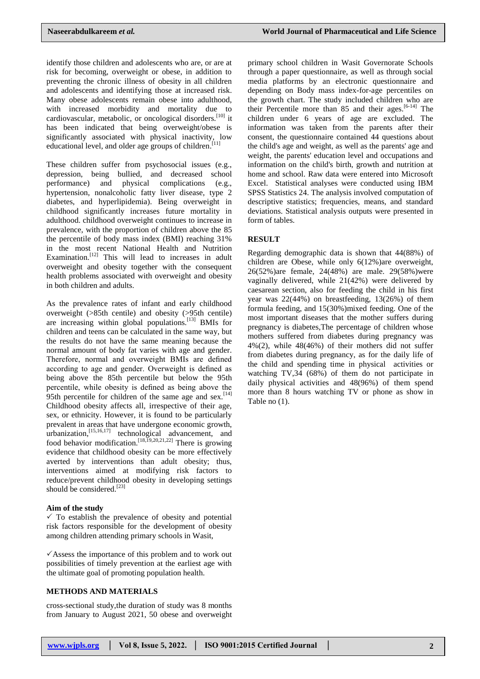identify those children and adolescents who are, or are at risk for becoming, overweight or obese, in addition to preventing the chronic illness of obesity in all children and adolescents and identifying those at increased risk. Many obese adolescents remain obese into adulthood, with increased morbidity and mortality due to cardiovascular, metabolic, or oncological disorders.<sup>[10]</sup> it has been indicated that being overweight/obese is significantly associated with physical inactivity, low educational level, and older age groups of children.<sup>[11]</sup>

These children suffer from psychosocial issues (e.g., depression, being bullied, and decreased school performance) and physical complications (e.g., hypertension, nonalcoholic fatty liver disease, type 2 diabetes, and hyperlipidemia). Being overweight in childhood significantly increases future mortality in adulthood. childhood overweight continues to increase in prevalence, with the proportion of children above the 85 the percentile of body mass index (BMI) reaching 31% in the most recent National Health and Nutrition Examination.<sup>[12]</sup> This will lead to increases in adult overweight and obesity together with the consequent health problems associated with overweight and obesity in both children and adults.

As the prevalence rates of infant and early childhood overweight (>85th centile) and obesity (>95th centile) are increasing within global populations.<sup>[13]</sup> BMIs for children and teens can be calculated in the same way, but the results do not have the same meaning because the normal amount of body fat varies with age and gender. Therefore, normal and overweight BMIs are defined according to age and gender. Overweight is defined as being above the 85th percentile but below the 95th percentile, while obesity is defined as being above the 95th percentile for children of the same age and sex.<sup>[14]</sup> Childhood obesity affects all, irrespective of their age, sex, or ethnicity. However, it is found to be particularly prevalent in areas that have undergone economic growth, urbanization,[15,16,17] technological advancement, and food behavior modification.<sup>[18,19,20,21,22]</sup> There is growing evidence that childhood obesity can be more effectively averted by interventions than adult obesity; thus, interventions aimed at modifying risk factors to reduce/prevent childhood obesity in developing settings should be considered.<sup>[23]</sup>

#### **Aim of the study**

 $\checkmark$  To establish the prevalence of obesity and potential risk factors responsible for the development of obesity among children attending primary schools in Wasit,

 $\checkmark$  Assess the importance of this problem and to work out possibilities of timely prevention at the earliest age with the ultimate goal of promoting population health.

#### **METHODS AND MATERIALS**

cross-sectional study,the duration of study was 8 months from January to August 2021, 50 obese and overweight

primary school children in Wasit Governorate Schools through a paper questionnaire, as well as through social media platforms by an electronic questionnaire and depending on Body mass index-for-age percentiles on the growth chart. The study included children who are their Percentile more than 85 and their ages.<sup>[6-14]</sup> The children under 6 years of age are excluded. The information was taken from the parents after their consent, the questionnaire contained 44 questions about the child's age and weight, as well as the parents' age and weight, the parents' education level and occupations and information on the child's birth, growth and nutrition at home and school. Raw data were entered into Microsoft Excel. Statistical analyses were conducted using IBM SPSS Statistics 24. The analysis involved computation of descriptive statistics; frequencies, means, and standard deviations. Statistical analysis outputs were presented in form of tables.

### **RESULT**

Regarding demographic data is shown that 44(88%) of children are Obese, while only 6(12%)are overweight, 26(52%)are female, 24(48%) are male. 29(58%)were vaginally delivered, while 21(42%) were delivered by caesarean section, also for feeding the child in his first year was 22(44%) on breastfeeding, 13(26%) of them formula feeding, and 15(30%)mixed feeding. One of the most important diseases that the mother suffers during pregnancy is diabetes,The percentage of children whose mothers suffered from diabetes during pregnancy was 4%(2), while 48(46%) of their mothers did not suffer from diabetes during pregnancy, as for the daily life of the child and spending time in physical activities or watching TV,34 (68%) of them do not participate in daily physical activities and 48(96%) of them spend more than 8 hours watching TV or phone as show in Table no (1).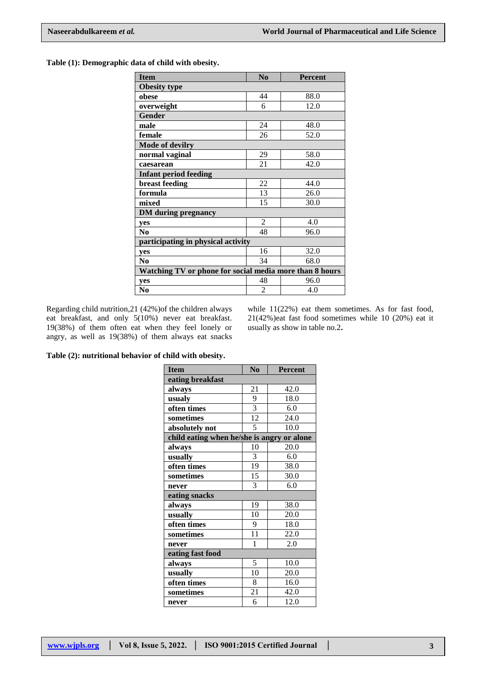**Table (1): Demographic data of child with obesity.**

| <b>Item</b>                                             | $\mathbf{N}\mathbf{0}$ | <b>Percent</b> |  |  |  |
|---------------------------------------------------------|------------------------|----------------|--|--|--|
| <b>Obesity type</b>                                     |                        |                |  |  |  |
| obese                                                   | 44                     | 88.0           |  |  |  |
| overweight                                              | 6                      | 12.0           |  |  |  |
| <b>Gender</b>                                           |                        |                |  |  |  |
| male                                                    | 24                     | 48.0           |  |  |  |
| female                                                  | 26                     | 52.0           |  |  |  |
| <b>Mode of devilry</b>                                  |                        |                |  |  |  |
| normal vaginal                                          | 29                     | 58.0           |  |  |  |
| caesarean                                               | 21                     | 42.0           |  |  |  |
| Infant period feeding                                   |                        |                |  |  |  |
| breast feeding                                          | 22                     | 44.0           |  |  |  |
| formula                                                 | 13                     | 26.0           |  |  |  |
| mixed                                                   | 15                     | 30.0           |  |  |  |
| <b>DM</b> during pregnancy                              |                        |                |  |  |  |
| yes                                                     | 2                      | 4.0            |  |  |  |
| N <sub>0</sub>                                          | 48                     | 96.0           |  |  |  |
| participating in physical activity                      |                        |                |  |  |  |
| yes                                                     | 16                     | 32.0           |  |  |  |
| N <sub>0</sub>                                          | 34                     | 68.0           |  |  |  |
| Watching TV or phone for social media more than 8 hours |                        |                |  |  |  |
| yes                                                     | 48                     | 96.0           |  |  |  |
| N <sub>0</sub>                                          | $\overline{c}$         | 4.0            |  |  |  |

Regarding child nutrition,21 (42%)of the children always eat breakfast, and only 5(10%) never eat breakfast. 19(38%) of them often eat when they feel lonely or angry, as well as 19(38%) of them always eat snacks

while 11(22%) eat them sometimes. As for fast food, 21(42%)eat fast food sometimes while 10 (20%) eat it usually as show in table no.2**.**

**Table (2): nutritional behavior of child with obesity.**

| <b>Item</b>                                | N <sub>0</sub> | Percent |  |  |  |  |
|--------------------------------------------|----------------|---------|--|--|--|--|
| eating breakfast                           |                |         |  |  |  |  |
| always                                     | 21             | 42.0    |  |  |  |  |
| usualy                                     | 9              | 18.0    |  |  |  |  |
| often times                                | $\overline{3}$ | 6.0     |  |  |  |  |
| sometimes                                  | 12             | 24.0    |  |  |  |  |
| absolutely not                             | 5              | 10.0    |  |  |  |  |
| child eating when he/she is angry or alone |                |         |  |  |  |  |
| always                                     | 10             | 20.0    |  |  |  |  |
| usually                                    | 3              | 6.0     |  |  |  |  |
| often times                                | 19             | 38.0    |  |  |  |  |
| sometimes                                  | 15             | 30.0    |  |  |  |  |
| never                                      | 3              | 6.0     |  |  |  |  |
| eating snacks                              |                |         |  |  |  |  |
| always                                     | 19             | 38.0    |  |  |  |  |
| usually                                    | 10             | 20.0    |  |  |  |  |
| often times                                | 9              | 18.0    |  |  |  |  |
| sometimes                                  | 11             | 22.0    |  |  |  |  |
| never                                      | 1              | 2.0     |  |  |  |  |
| eating fast food                           |                |         |  |  |  |  |
| always                                     | 5              | 10.0    |  |  |  |  |
| usually                                    | 10             | 20.0    |  |  |  |  |
| often times                                | 8              | 16.0    |  |  |  |  |
| sometimes                                  | 21             | 42.0    |  |  |  |  |
| never                                      | 6              | 12.0    |  |  |  |  |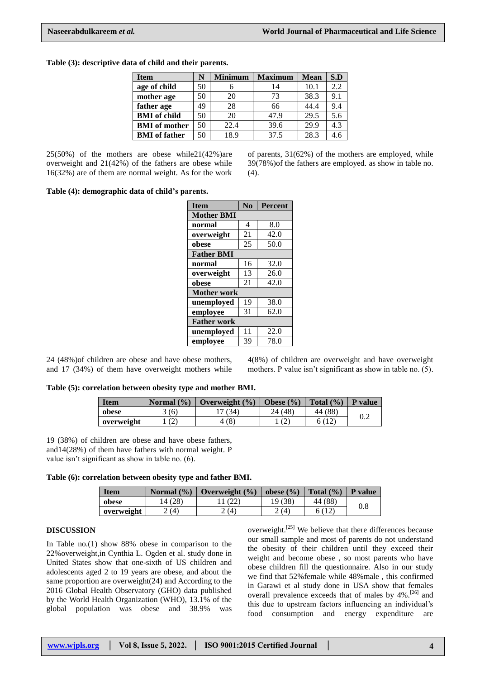#### **Table (3): descriptive data of child and their parents.**

| <b>Item</b>          | N  | <b>Minimum</b> | <b>Maximum</b> | <b>Mean</b> | S.D |
|----------------------|----|----------------|----------------|-------------|-----|
| age of child         | 50 |                | 14             | 10.1        | 2.2 |
| mother age           | 50 | 20             | 73             | 38.3        | 9.1 |
| father age           | 49 | 28             | 66             | 44.4        | 9.4 |
| <b>BMI</b> of child  | 50 | 20             | 47.9           | 29.5        | 5.6 |
| <b>BMI</b> of mother | 50 | 22.4           | 39.6           | 29.9        | 4.3 |
| <b>BMI</b> of father | 50 | 18.9           | 37.5           | 28.3        | 4.6 |

25(50%) of the mothers are obese while21(42%)are overweight and 21(42%) of the fathers are obese while 16(32%) are of them are normal weight. As for the work of parents, 31(62%) of the mothers are employed, while 39(78%)of the fathers are employed. as show in table no. (4).

#### **Table (4): demographic data of child's parents.**

| <b>Item</b>        | N <sub>o</sub> | <b>Percent</b> |  |  |  |
|--------------------|----------------|----------------|--|--|--|
| <b>Mother BMI</b>  |                |                |  |  |  |
| normal             | 4              | 8.0            |  |  |  |
| overweight         | 21             | 42.0           |  |  |  |
| obese              | 25             | 50.0           |  |  |  |
| <b>Father BMI</b>  |                |                |  |  |  |
| normal             | 16             | 32.0           |  |  |  |
| overweight         | 13             | 26.0           |  |  |  |
| obese              | 21             | 42.0           |  |  |  |
| <b>Mother work</b> |                |                |  |  |  |
| unemployed         | 19             | 38.0           |  |  |  |
| employee           | 31             | 62.0           |  |  |  |
| <b>Father work</b> |                |                |  |  |  |
| unemployed         | 11             | 22.0           |  |  |  |
| employee           | 39             | 78.0           |  |  |  |

24 (48%)of children are obese and have obese mothers, and 17 (34%) of them have overweight mothers while 4(8%) of children are overweight and have overweight mothers. P value isn't significant as show in table no. (5).

#### **Table (5): correlation between obesity type and mother BMI.**

| <b>Item</b> | Normal $(\frac{9}{6})$ | Overweight $(\% )$ | Obese $(\% )$ | Total $(\% )$ | P value |
|-------------|------------------------|--------------------|---------------|---------------|---------|
| obese       | 3(6)                   | (34)               | 24 (48)       | 44 (88)       | 0.2     |
| overweight  | (2)                    | (8)                |               |               |         |

19 (38%) of children are obese and have obese fathers, and14(28%) of them have fathers with normal weight. P value isn't significant as show in table no. (6).

| Table (6): correlation between obesity type and father BMI. |  |  |  |
|-------------------------------------------------------------|--|--|--|
|                                                             |  |  |  |

| <b>Item</b> | Normal $(\% )$ | Overweight $(\% )$ | obese $(\% )$ | Total $(\% )$ | P value |
|-------------|----------------|--------------------|---------------|---------------|---------|
| obese       | 4(28)          | ∠∠                 | 19 (38)       | 44 (88)       | 0.8     |
| overweight  | (4)            | (4)                | 2(4)          |               |         |

#### **DISCUSSION**

In Table no.(1) show 88% obese in comparison to the 22%overweight,in Cynthia L. Ogden et al. study done in United States show that one-sixth of US children and adolescents aged 2 to 19 years are obese, and about the same proportion are overweight(24) and According to the 2016 Global Health Observatory (GHO) data published by the World Health Organization (WHO), 13.1% of the global population was obese and 38.9% was overweight.[25] We believe that there differences because our small sample and most of parents do not understand the obesity of their children until they exceed their weight and become obese , so most parents who have obese children fill the questionnaire. Also in our study we find that 52%female while 48%male , this confirmed in Garawi et al study done in USA show that females overall prevalence exceeds that of males by 4%.<sup>[26]</sup> and this due to upstream factors influencing an individual's food consumption and energy expenditure are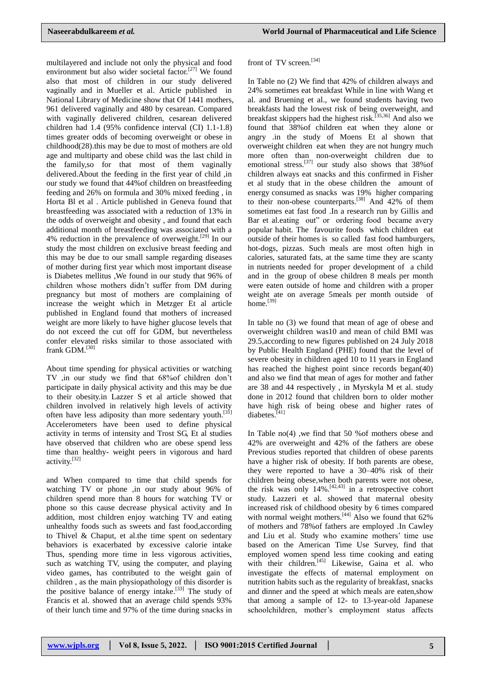multilayered and include not only the physical and food environment but also wider societal factor.<sup>[27]</sup> We found also that most of children in our study delivered vaginally and in Mueller et al. Article published in National Library of Medicine show that Of 1441 mothers, 961 delivered vaginally and 480 by cesarean. Compared with vaginally delivered children, cesarean delivered children had 1.4 (95% confidence interval (CI) 1.1-1.8) times greater odds of becoming overweight or obese in childhood(28).this may be due to most of mothers are old age and multiparty and obese child was the last child in the family,so for that most of them vaginally delivered.About the feeding in the first year of child ,in our study we found that 44%of children on breastfeeding feeding and 26% on formula and 30% mixed feeding , in Horta Bl et al . Article published in Geneva found that breastfeeding was associated with a reduction of 13% in the odds of overweight and obesity , and found that each additional month of breastfeeding was associated with a 4% reduction in the prevalence of overweight.<sup>[29]</sup> In our study the most children on exclusive breast feeding and this may be due to our small sample regarding diseases of mother during first year which most important disease is Diabetes mellitus ,We found in our study that 96% of children whose mothers didn't suffer from DM during pregnancy but most of mothers are complaining of increase the weight which in Metzger Et al article published in England found that mothers of increased weight are more likely to have higher glucose levels that do not exceed the cut off for GDM, but nevertheless confer elevated risks similar to those associated with frank GDM.<sup>[30]</sup>

About time spending for physical activities or watching TV ,in our study we find that 68%of children don't participate in daily physical activity and this may be due to their obesity.in Lazzer S et al article showed that children involved in relatively high levels of activity often have less adiposity than more sedentary youth.<sup>[31]</sup> Accelerometers have been used to define physical activity in terms of intensity and Trost SG, Et al studies have observed that children who are obese spend less time than healthy- weight peers in vigorous and hard activity.[32]

and When compared to time that child spends for watching TV or phone ,in our study about 96% of children spend more than 8 hours for watching TV or phone so this cause decrease physical activity and In addition, most children enjoy watching TV and eating unhealthy foods such as sweets and fast food,according to Thivel & Chaput, et al.the time spent on sedentary behaviors is exacerbated by excessive calorie intake Thus, spending more time in less vigorous activities, such as watching TV, using the computer, and playing video games, has contributed to the weight gain of children , as the main physiopathology of this disorder is the positive balance of energy intake.<sup>[33]</sup> The study of Francis et al. showed that an average child spends 93% of their lunch time and 97% of the time during snacks in

#### front of TV screen.<sup>[34]</sup>

In Table no (2) We find that 42% of children always and 24% sometimes eat breakfast While in line with Wang et al. and Bruening et al., we found students having two breakfasts had the lowest risk of being overweight, and breakfast skippers had the highest risk.<sup>[35,36]</sup> And also we found that 38%of children eat when they alone or angry .in the study of Moens Et al shown that overweight children eat when they are not hungry much more often than non-overweight children due to emotional stress.[37] our study also shows that 38%of children always eat snacks and this confirmed in Fisher et al study that in the obese children the amount of energy consumed as snacks was 19% higher comparing to their non-obese counterparts.<sup>[38]</sup> And 42% of them sometimes eat fast food .In a research run by Gillis and Bar et al.eating out" or ordering food became avery popular habit. The favourite foods which children eat outside of their homes is so called fast food hamburgers, hot-dogs, pizzas. Such meals are most often high in calories, saturated fats, at the same time they are scanty in nutrients needed for proper development of a child and in the group of obese children 8 meals per month were eaten outside of home and children with a proper weight ate on average 5meals per month outside of home.<sup>[39]</sup>

In table no (3) we found that mean of age of obese and overweight children was10 and mean of child BMI was 29.5,according to new figures published on 24 July 2018 by Public Health England (PHE) found that the level of severe obesity in children aged 10 to 11 years in England has reached the highest point since records began(40) and also we find that mean of ages for mother and father are 38 and 44 respectively , in Myrskyla M et al. study done in 2012 found that children born to older mother have high risk of being obese and higher rates of diabetes.<sup>[41]</sup>

In Table no(4) ,we find that 50 %of mothers obese and 42% are overweight and 42% of the fathers are obese Previous studies reported that children of obese parents have a higher risk of obesity. If both parents are obese, they were reported to have a 30–40% risk of their children being obese,when both parents were not obese, the risk was only  $14\%$ .<sup>[42,43]</sup> in a retrospective cohort study. Lazzeri et al. showed that maternal obesity increased risk of childhood obesity by 6 times compared with normal weight mothers.<sup>[44]</sup> Also we found that  $62\%$ of mothers and 78%of fathers are employed .In Cawley and Liu et al. Study who examine mothers' time use based on the American Time Use Survey, find that employed women spend less time cooking and eating with their children.<sup>[45]</sup> Likewise, Gaina et al. who investigate the effects of maternal employment on nutrition habits such as the regularity of breakfast, snacks and dinner and the speed at which meals are eaten,show that among a sample of 12- to 13-year-old Japanese schoolchildren, mother's employment status affects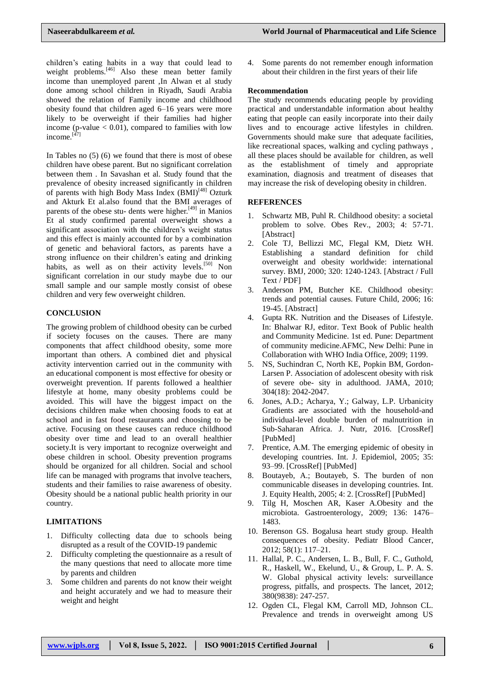children's eating habits in a way that could lead to weight problems. $[46]$  Also these mean better family income than unemployed parent ,In Alwan et al study done among school children in Riyadh, Saudi Arabia showed the relation of Family income and childhood obesity found that children aged 6–16 years were more likely to be overweight if their families had higher income (p-value  $< 0.01$ ), compared to families with low income.[47]

In Tables no (5) (6) we found that there is most of obese children have obese parent. But no significant correlation between them . In Savashan et al. Study found that the prevalence of obesity increased significantly in children of parents with high Body Mass Index  $(BMI)^{[48]}$  Ozturk and Akturk Et al.also found that the BMI averages of parents of the obese stu- dents were higher.[49] in Manios Et al study confirmed parental overweight shows a significant association with the children's weight status and this effect is mainly accounted for by a combination of genetic and behavioral factors, as parents have a strong influence on their children's eating and drinking habits, as well as on their activity levels.<sup>[50]</sup> Non significant correlation in our study maybe due to our small sample and our sample mostly consist of obese children and very few overweight children.

### **CONCLUSION**

The growing problem of childhood obesity can be curbed if society focuses on the causes. There are many components that affect childhood obesity, some more important than others. A combined diet and physical activity intervention carried out in the community with an educational component is most effective for obesity or overweight prevention. If parents followed a healthier lifestyle at home, many obesity problems could be avoided. This will have the biggest impact on the decisions children make when choosing foods to eat at school and in fast food restaurants and choosing to be active. Focusing on these causes can reduce childhood obesity over time and lead to an overall healthier society.It is very important to recognize overweight and obese children in school. Obesity prevention programs should be organized for all children. Social and school life can be managed with programs that involve teachers, students and their families to raise awareness of obesity. Obesity should be a national public health priority in our country.

### **LIMITATIONS**

- 1. Difficulty collecting data due to schools being disrupted as a result of the COVID-19 pandemic
- 2. Difficulty completing the questionnaire as a result of the many questions that need to allocate more time by parents and children
- 3. Some children and parents do not know their weight and height accurately and we had to measure their weight and height

4. Some parents do not remember enough information about their children in the first years of their life

#### **Recommendation**

The study recommends educating people by providing practical and understandable information about healthy eating that people can easily incorporate into their daily lives and to encourage active lifestyles in children. Governments should make sure that adequate facilities, like recreational spaces, walking and cycling pathways , all these places should be available for children, as well as the establishment of timely and appropriate examination, diagnosis and treatment of diseases that may increase the risk of developing obesity in children.

#### **REFERENCES**

- 1. Schwartz MB, Puhl R. Childhood obesity: a societal problem to solve. Obes Rev., 2003; 4: 57-71. [Abstract]
- 2. Cole TJ, Bellizzi MC, Flegal KM, Dietz WH. Establishing a standard definition for child overweight and obesity worldwide: international survey. BMJ, 2000; 320: 1240-1243. [Abstract / Full Text / PDF]
- 3. Anderson PM, Butcher KE. Childhood obesity: trends and potential causes. Future Child, 2006; 16: 19-45. [Abstract]
- 4. Gupta RK. Nutrition and the Diseases of Lifestyle. In: Bhalwar RJ, editor. Text Book of Public health and Community Medicine. 1st ed. Pune: Department of community medicine.AFMC, New Delhi: Pune in Collaboration with WHO India Office, 2009; 1199.
- 5. NS, Suchindran C, North KE, Popkin BM, Gordon-Larsen P. Association of adolescent obesity with risk of severe obe- sity in adulthood. JAMA, 2010; 304(18): 2042-2047.
- 6. Jones, A.D.; Acharya, Y.; Galway, L.P. Urbanicity Gradients are associated with the household-and individual-level double burden of malnutrition in Sub-Saharan Africa. J. Nutr, 2016. [CrossRef] [PubMed]
- 7. Prentice, A.M. The emerging epidemic of obesity in developing countries. Int. J. Epidemiol, 2005; 35: 93–99. [CrossRef] [PubMed]
- 8. Boutayeb, A.; Boutayeb, S. The burden of non communicable diseases in developing countries. Int. J. Equity Health, 2005; 4: 2. [CrossRef] [PubMed]
- 9. Tilg H, Moschen AR, Kaser A.Obesity and the microbiota. Gastroenterology, 2009; 136: 1476– 1483.
- 10. Berenson GS. Bogalusa heart study group. Health consequences of obesity. Pediatr Blood Cancer, 2012; 58(1): 117–21.
- 11. Hallal, P. C., Andersen, L. B., Bull, F. C., Guthold, R., Haskell, W., Ekelund, U., & Group, L. P. A. S. W. Global physical activity levels: surveillance progress, pitfalls, and prospects. The lancet, 2012; 380(9838): 247-257.
- 12. Ogden CL, Flegal KM, Carroll MD, Johnson CL. Prevalence and trends in overweight among US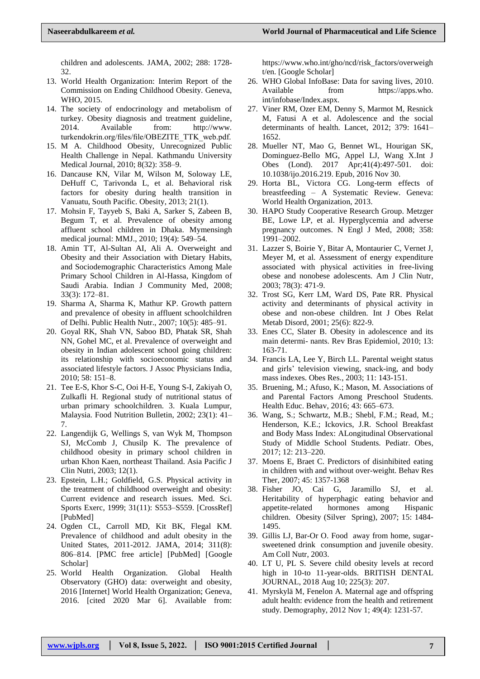children and adolescents. JAMA, 2002; 288: 1728- 32.

- 13. World Health Organization: Interim Report of the Commission on Ending Childhood Obesity. Geneva, WHO, 2015.
- 14. The society of endocrinology and metabolism of turkey. Obesity diagnosis and treatment guideline, 2014. Available from: http://www. turkendokrin.org/files/file/OBEZITE\_TTK\_web.pdf.
- 15. M A. Childhood Obesity, Unrecognized Public Health Challenge in Nepal. Kathmandu University Medical Journal, 2010; 8(32): 358–9.
- 16. Dancause KN, Vilar M, Wilson M, Soloway LE, DeHuff C, Tarivonda L, et al. Behavioral risk factors for obesity during health transition in Vanuatu, South Pacific. Obesity, 2013; 21(1).
- 17. Mohsin F, Tayyeb S, Baki A, Sarker S, Zabeen B, Begum T, et al. Prevalence of obesity among affluent school children in Dhaka. Mymensingh medical journal: MMJ., 2010; 19(4): 549–54.
- 18. Amin TT, Al-Sultan AI, Ali A. Overweight and Obesity and their Association with Dietary Habits, and Sociodemographic Characteristics Among Male Primary School Children in Al-Hassa, Kingdom of Saudi Arabia. Indian J Community Med, 2008; 33(3): 172–81.
- 19. Sharma A, Sharma K, Mathur KP. Growth pattern and prevalence of obesity in affluent schoolchildren of Delhi. Public Health Nutr., 2007; 10(5): 485–91.
- 20. Goyal RK, Shah VN, Saboo BD, Phatak SR, Shah NN, Gohel MC, et al. Prevalence of overweight and obesity in Indian adolescent school going children: its relationship with socioeconomic status and associated lifestyle factors. J Assoc Physicians India, 2010; 58: 151–8.
- 21. Tee E-S, Khor S-C, Ooi H-E, Young S-I, Zakiyah O, Zulkafli H. Regional study of nutritional status of urban primary schoolchildren. 3. Kuala Lumpur, Malaysia. Food Nutrition Bulletin, 2002; 23(1): 41– 7.
- 22. Langendijk G, Wellings S, van Wyk M, Thompson SJ, McComb J, Chusilp K. The prevalence of childhood obesity in primary school children in urban Khon Kaen, northeast Thailand. Asia Pacific J Clin Nutri, 2003; 12(1).
- 23. Epstein, L.H.; Goldfield, G.S. Physical activity in the treatment of childhood overweight and obesity: Current evidence and research issues. Med. Sci. Sports Exerc, 1999; 31(11): S553–S559. [CrossRef] [PubMed]
- 24. Ogden CL, Carroll MD, Kit BK, Flegal KM. Prevalence of childhood and adult obesity in the United States, 2011-2012. JAMA, 2014; 311(8): 806–814. [PMC free article] [PubMed] [Google Scholar]
- 25. World Health Organization. Global Health Observatory (GHO) data: overweight and obesity, 2016 [Internet] World Health Organization; Geneva, 2016. [cited 2020 Mar 6]. Available from:

https://www.who.int/gho/ncd/risk\_factors/overweigh t/en. [Google Scholar]

- 26. WHO Global InfoBase: Data for saving lives, 2010. Available from https://apps.who. int/infobase/Index.aspx.
- 27. Viner RM, Ozer EM, Denny S, Marmot M, Resnick M, Fatusi A et al. Adolescence and the social determinants of health. Lancet, 2012; 379: 1641– 1652.
- 28. Mueller NT, Mao G, Bennet WL, Hourigan SK, Dominguez-Bello MG, Appel LJ, Wang X.Int J Obes (Lond). 2017 Apr;41(4):497-501. doi: 10.1038/ijo.2016.219. Epub, 2016 Nov 30.
- 29. Horta BL, Victora CG. Long-term effects of breastfeeding – A Systematic Review. Geneva: World Health Organization, 2013.
- 30. HAPO Study Cooperative Research Group. Metzger BE, Lowe LP, et al. Hyperglycemia and adverse pregnancy outcomes. N Engl J Med, 2008; 358: 1991–2002.
- 31. Lazzer S, Boirie Y, Bitar A, Montaurier C, Vernet J, Meyer M, et al. Assessment of energy expenditure associated with physical activities in free-living obese and nonobese adolescents. Am J Clin Nutr, 2003; 78(3): 471-9.
- 32. Trost SG, Kerr LM, Ward DS, Pate RR. Physical activity and determinants of physical activity in obese and non-obese children. Int J Obes Relat Metab Disord, 2001; 25(6): 822-9.
- 33. Enes CC, Slater B. Obesity in adolescence and its main determi- nants. Rev Bras Epidemiol, 2010; 13: 163-71.
- 34. Francis LA, Lee Y, Birch LL. Parental weight status and girls' television viewing, snack-ing, and body mass indexes. Obes Res., 2003; 11: 143-151.
- 35. Bruening, M.; Afuso, K.; Mason, M. Associations of and Parental Factors Among Preschool Students. Health Educ. Behav, 2016; 43: 665–673.
- 36. Wang, S.; Schwartz, M.B.; Shebl, F.M.; Read, M.; Henderson, K.E.; Ickovics, J.R. School Breakfast and Body Mass Index: ALongitudinal Observational Study of Middle School Students. Pediatr. Obes, 2017; 12: 213–220.
- 37. Moens E, Braet C. Predictors of disinhibited eating in children with and without over-weight. Behav Res Ther, 2007; 45: 1357-1368
- 38. Fisher JO, Cai G, Jaramillo SJ, et al. Heritability of hyperphagic eating behavior and appetite-related hormones among Hispanic children. Obesity (Silver Spring), 2007; 15: 1484- 1495.
- 39. Gillis LJ, Bar-Or O. Food away from home, sugarsweetened drink consumption and juvenile obesity. Am Coll Nutr, 2003.
- 40. LT U, PL S. Severe child obesity levels at record high in 10-to 11-year-olds. BRITISH DENTAL JOURNAL, 2018 Aug 10; 225(3): 207.
- 41. Myrskylä M, Fenelon A. Maternal age and offspring adult health: evidence from the health and retirement study. Demography, 2012 Nov 1; 49(4): 1231-57.